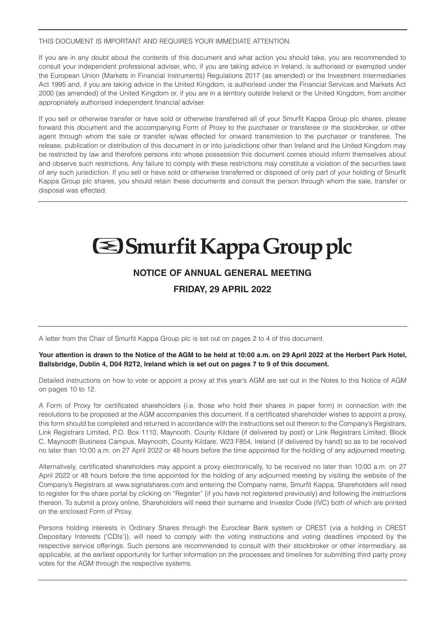#### THIS DOCUMENT IS IMPORTANT AND REQUIRES YOUR IMMEDIATE ATTENTION.

If you are in any doubt about the contents of this document and what action you should take, you are recommended to consult your independent professional adviser, who, if you are taking advice in Ireland, is authorised or exempted under the European Union (Markets in Financial Instruments) Regulations 2017 (as amended) or the Investment Intermediaries Act 1995 and, if you are taking advice in the United Kingdom, is authorised under the Financial Services and Markets Act 2000 (as amended) of the United Kingdom or, if you are in a territory outside Ireland or the United Kingdom, from another appropriately authorised independent financial adviser.

If you sell or otherwise transfer or have sold or otherwise transferred all of your Smurfit Kappa Group plc shares, please forward this document and the accompanying Form of Proxy to the purchaser or transferee or the stockbroker, or other agent through whom the sale or transfer is/was effected for onward transmission to the purchaser or transferee. The release, publication or distribution of this document in or into jurisdictions other than Ireland and the United Kingdom may be restricted by law and therefore persons into whose possession this document comes should inform themselves about and observe such restrictions. Any failure to comply with these restrictions may constitute a violation of the securities laws of any such jurisdiction. If you sell or have sold or otherwise transferred or disposed of only part of your holding of Smurfit Kappa Group plc shares, you should retain these documents and consult the person through whom the sale, transfer or disposal was effected.

# **Sharfit Kappa Group plc**

## **NOTICE OF ANNUAL GENERAL MEETING FRIDAY, 29 APRIL 2022**

A letter from the Chair of Smurfit Kappa Group plc is set out on pages 2 to 4 of this document.

#### **Your attention is drawn to the Notice of the AGM to be held at 10:00 a.m. on 29 April 2022 at the Herbert Park Hotel, Ballsbridge, Dublin 4, D04 R2T2, Ireland which is set out on pages 7 to 9 of this document.**

Detailed instructions on how to vote or appoint a proxy at this year's AGM are set out in the Notes to this Notice of AGM on pages 10 to 12.

A Form of Proxy for certificated shareholders (i.e. those who hold their shares in paper form) in connection with the resolutions to be proposed at the AGM accompanies this document. If a certificated shareholder wishes to appoint a proxy, this form should be completed and returned in accordance with the instructions set out thereon to the Company's Registrars, Link Registrars Limited, P.O. Box 1110, Maynooth, County Kildare (if delivered by post) or Link Registrars Limited, Block C, Maynooth Business Campus, Maynooth, County Kildare, W23 F854, Ireland (if delivered by hand) so as to be received no later than 10:00 a.m. on 27 April 2022 or 48 hours before the time appointed for the holding of any adjourned meeting.

Alternatively, certificated shareholders may appoint a proxy electronically, to be received no later than 10:00 a.m. on 27 April 2022 or 48 hours before the time appointed for the holding of any adjourned meeting by visiting the website of the Company's Registrars at www.signalshares.com and entering the Company name, Smurfit Kappa. Shareholders will need to register for the share portal by clicking on "Register" (if you have not registered previously) and following the instructions thereon. To submit a proxy online, Shareholders will need their surname and Investor Code (IVC) both of which are printed on the enclosed Form of Proxy.

Persons holding interests in Ordinary Shares through the Euroclear Bank system or CREST (via a holding in CREST Depositary Interests ('CDIs')), will need to comply with the voting instructions and voting deadlines imposed by the respective service offerings. Such persons are recommended to consult with their stockbroker or other intermediary, as applicable, at the earliest opportunity for further information on the processes and timelines for submitting third party proxy votes for the AGM through the respective systems.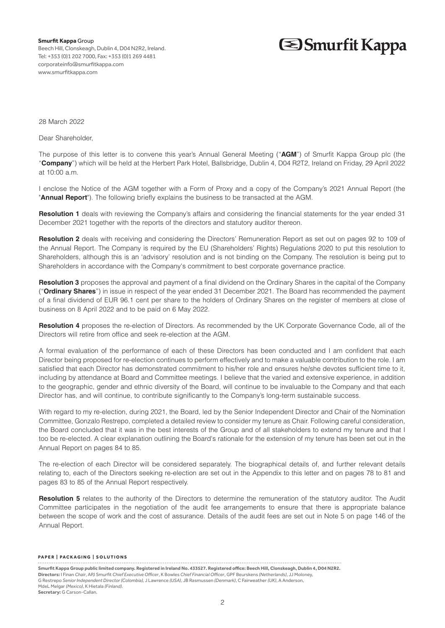**Smurfit Kappa** Group Beech Hill, Clonskeagh, Dublin 4, D04 N2R2, Ireland. Tel: +353 (0)1 202 7000, Fax: +353 (0)1 269 4481 corporateinfo@smurfitkappa.com www.smurfitkappa.com

# **S**Smurfit Kappa

28 March 2022

Dear Shareholder,

The purpose of this letter is to convene this year's Annual General Meeting ("**AGM**") of Smurfit Kappa Group plc (the "**Company**") which will be held at the Herbert Park Hotel, Ballsbridge, Dublin 4, D04 R2T2, Ireland on Friday, 29 April 2022 at 10:00 a.m.

I enclose the Notice of the AGM together with a Form of Proxy and a copy of the Company's 2021 Annual Report (the "**Annual Report**"). The following briefly explains the business to be transacted at the AGM.

**Resolution 1** deals with reviewing the Company's affairs and considering the financial statements for the year ended 31 December 2021 together with the reports of the directors and statutory auditor thereon.

**Resolution 2** deals with receiving and considering the Directors' Remuneration Report as set out on pages 92 to 109 of the Annual Report. The Company is required by the EU (Shareholders' Rights) Regulations 2020 to put this resolution to Shareholders, although this is an 'advisory' resolution and is not binding on the Company. The resolution is being put to Shareholders in accordance with the Company's commitment to best corporate governance practice.

**Resolution 3** proposes the approval and payment of a final dividend on the Ordinary Shares in the capital of the Company ("**Ordinary Shares**") in issue in respect of the year ended 31 December 2021. The Board has recommended the payment of a final dividend of EUR 96.1 cent per share to the holders of Ordinary Shares on the register of members at close of business on 8 April 2022 and to be paid on 6 May 2022.

**Resolution 4** proposes the re-election of Directors. As recommended by the UK Corporate Governance Code, all of the Directors will retire from office and seek re-election at the AGM.

A formal evaluation of the performance of each of these Directors has been conducted and I am confident that each Director being proposed for re-election continues to perform effectively and to make a valuable contribution to the role. I am satisfied that each Director has demonstrated commitment to his/her role and ensures he/she devotes sufficient time to it, including by attendance at Board and Committee meetings. I believe that the varied and extensive experience, in addition to the geographic, gender and ethnic diversity of the Board, will continue to be invaluable to the Company and that each Director has, and will continue, to contribute significantly to the Company's long-term sustainable success.

With regard to my re-election, during 2021, the Board, led by the Senior Independent Director and Chair of the Nomination Committee, Gonzalo Restrepo, completed a detailed review to consider my tenure as Chair. Following careful consideration, the Board concluded that it was in the best interests of the Group and of all stakeholders to extend my tenure and that I too be re-elected. A clear explanation outlining the Board's rationale for the extension of my tenure has been set out in the Annual Report on pages 84 to 85.

The re-election of each Director will be considered separately. The biographical details of, and further relevant details relating to, each of the Directors seeking re-election are set out in the Appendix to this letter and on pages 78 to 81 and pages 83 to 85 of the Annual Report respectively.

**Resolution 5** relates to the authority of the Directors to determine the remuneration of the statutory auditor. The Audit Committee participates in the negotiation of the audit fee arrangements to ensure that there is appropriate balance between the scope of work and the cost of assurance. Details of the audit fees are set out in Note 5 on page 146 of the Annual Report.

#### **PAPER | PACKAGING | SOLUTIONS**

**Smurfit Kappa Group public limited company. Registered in Ireland No. 433527. Registered office: Beech Hill, Clonskeagh, Dublin 4, D04 N2R2. Directors:** I Finan *Chair*, APJ Smurfit *Chief Executive Officer*, K Bowles *Chief Financial Officer*, GPF Beurskens *(Netherlands)*, JJ Moloney, G Restrepo *Senior Independent Director (Colombia),* J Lawrence *(USA)*, JB Rasmussen *(Denmark)*, C Fairweather *(UK)*, A Anderson, MdeL Melgar *(Mexico)*, K Hietala *(Finland)*. **Secretary:** G Carson-Callan.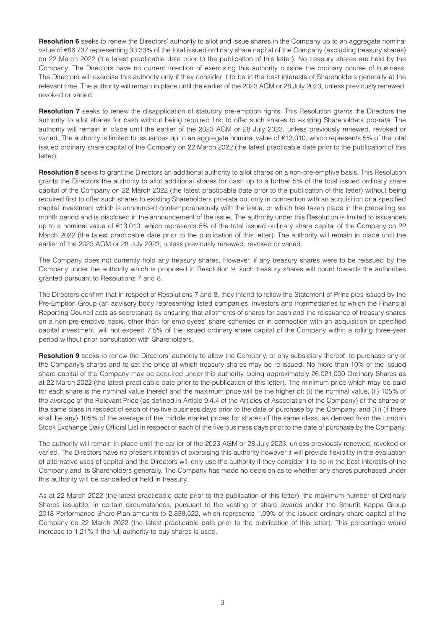**Resolution 6** seeks to renew the Directors' authority to allot and issue shares in the Company up to an aggregate nominal value of €86,737 representing 33.33% of the total issued ordinary share capital of the Company (excluding treasury shares) on 22 March 2022 (the latest practicable date prior to the publication of this letter). No treasury shares are held by the Company. The Directors have no current intention of exercising this authority outside the ordinary course of business. The Directors will exercise this authority only if they consider it to be in the best interests of Shareholders generally at the relevant time. The authority will remain in place until the earlier of the 2023 AGM or 28 July 2023, unless previously renewed, revoked or varied.

**Resolution 7** seeks to renew the disapplication of statutory pre-emption rights. This Resolution grants the Directors the authority to allot shares for cash without being required first to offer such shares to existing Shareholders pro-rata. The authority will remain in place until the earlier of the 2023 AGM or 28 July 2023, unless previously renewed, revoked or varied. The authority is limited to issuances up to an aggregate nominal value of  $€13.010$ , which represents 5% of the total issued ordinary share capital of the Company on 22 March 2022 (the latest practicable date prior to the publication of this letter).

**Resolution 8** seeks to grant the Directors an additional authority to allot shares on a non-pre-emptive basis. This Resolution grants the Directors the authority to allot additional shares for cash up to a further 5% of the total issued ordinary share capital of the Company on 22 March 2022 (the latest practicable date prior to the publication of this letter) without being required first to offer such shares to existing Shareholders pro-rata but only in connection with an acquisition or a specified capital investment which is announced contemporaneously with the issue, or which has taken place in the preceding six month period and is disclosed in the announcement of the issue. The authority under this Resolution is limited to issuances up to a nominal value of €13,010, which represents 5% of the total issued ordinary share capital of the Company on 22 March 2022 (the latest practicable date prior to the publication of this letter). The authority will remain in place until the earlier of the 2023 AGM or 28 July 2023, unless previously renewed, revoked or varied.

The Company does not currently hold any treasury shares. However, if any treasury shares were to be reissued by the Company under the authority which is proposed in Resolution 9, such treasury shares will count towards the authorities granted pursuant to Resolutions 7 and 8.

The Directors confirm that in respect of Resolutions 7 and 8, they intend to follow the Statement of Principles issued by the Pre-Emption Group (an advisory body representing listed companies, investors and intermediaries to which the Financial Reporting Council acts as secretariat) by ensuring that allotments of shares for cash and the reissuance of treasury shares on a non-pre-emptive basis, other than for employees' share schemes or in connection with an acquisition or specified capital investment, will not exceed 7.5% of the issued ordinary share capital of the Company within a rolling three-year period without prior consultation with Shareholders.

**Resolution 9** seeks to renew the Directors' authority to allow the Company, or any subsidiary thereof, to purchase any of the Company's shares and to set the price at which treasury shares may be re-issued. No more than 10% of the issued share capital of the Company may be acquired under this authority, being approximately 26,021,000 Ordinary Shares as at 22 March 2022 (the latest practicable date prior to the publication of this letter). The minimum price which may be paid for each share is the nominal value thereof and the maximum price will be the higher of: (i) the nominal value, (ii) 105% of the average of the Relevant Price (as defined in Article 9.4.4 of the Articles of Association of the Company) of the shares of the same class in respect of each of the five business days prior to the date of purchase by the Company, and (iii) (if there shall be any) 105% of the average of the middle market prices for shares of the same class, as derived from the London Stock Exchange Daily Official List in respect of each of the five business days prior to the date of purchase by the Company.

The authority will remain in place until the earlier of the 2023 AGM or 28 July 2023, unless previously renewed, revoked or varied. The Directors have no present intention of exercising this authority however it will provide flexibility in the evaluation of alternative uses of capital and the Directors will only use the authority if they consider it to be in the best interests of the Company and its Shareholders generally. The Company has made no decision as to whether any shares purchased under this authority will be cancelled or held in treasury.

As at 22 March 2022 (the latest practicable date prior to the publication of this letter), the maximum number of Ordinary Shares issuable, in certain circumstances, pursuant to the vesting of share awards under the Smurfit Kappa Group 2018 Performance Share Plan amounts to 2,838,522, which represents 1.09% of the issued ordinary share capital of the Company on 22 March 2022 (the latest practicable date prior to the publication of this letter). This percentage would increase to 1.21% if the full authority to buy shares is used.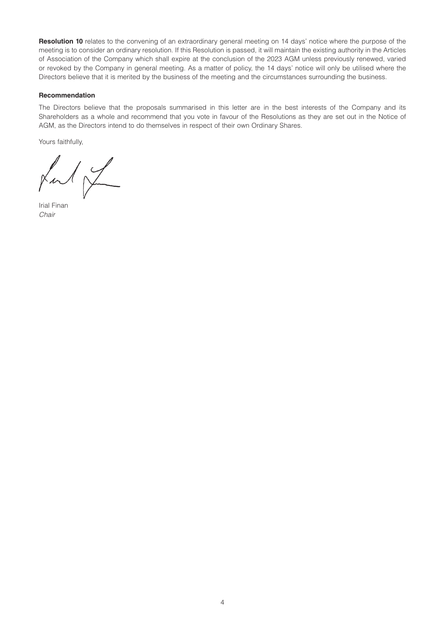**Resolution 10** relates to the convening of an extraordinary general meeting on 14 days' notice where the purpose of the meeting is to consider an ordinary resolution. If this Resolution is passed, it will maintain the existing authority in the Articles of Association of the Company which shall expire at the conclusion of the 2023 AGM unless previously renewed, varied or revoked by the Company in general meeting. As a matter of policy, the 14 days' notice will only be utilised where the Directors believe that it is merited by the business of the meeting and the circumstances surrounding the business.

#### **Recommendation**

The Directors believe that the proposals summarised in this letter are in the best interests of the Company and its Shareholders as a whole and recommend that you vote in favour of the Resolutions as they are set out in the Notice of AGM, as the Directors intend to do themselves in respect of their own Ordinary Shares.

Yours faithfully,

 $\sqrt{\frac{2}{1-\alpha^2}}$ 

Irial Finan *Chair*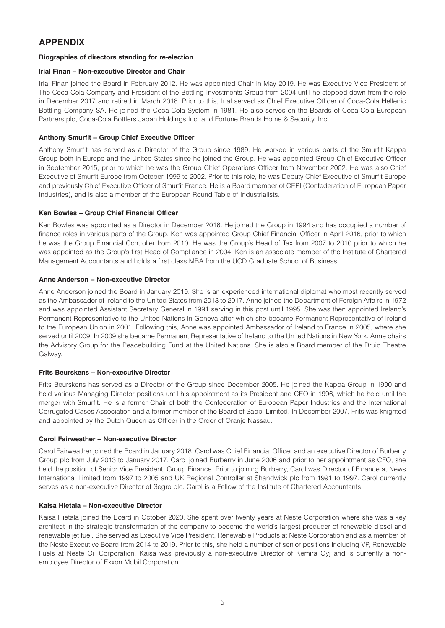### **APPENDIX**

#### **Biographies of directors standing for re-election**

#### **Irial Finan – Non-executive Director and Chair**

Irial Finan joined the Board in February 2012. He was appointed Chair in May 2019. He was Executive Vice President of The Coca-Cola Company and President of the Bottling Investments Group from 2004 until he stepped down from the role in December 2017 and retired in March 2018. Prior to this, Irial served as Chief Executive Officer of Coca-Cola Hellenic Bottling Company SA. He joined the Coca-Cola System in 1981. He also serves on the Boards of Coca-Cola European Partners plc, Coca-Cola Bottlers Japan Holdings Inc. and Fortune Brands Home & Security, Inc.

#### **Anthony Smurfit – Group Chief Executive Officer**

Anthony Smurfit has served as a Director of the Group since 1989. He worked in various parts of the Smurfit Kappa Group both in Europe and the United States since he joined the Group. He was appointed Group Chief Executive Officer in September 2015, prior to which he was the Group Chief Operations Officer from November 2002. He was also Chief Executive of Smurfit Europe from October 1999 to 2002. Prior to this role, he was Deputy Chief Executive of Smurfit Europe and previously Chief Executive Officer of Smurfit France. He is a Board member of CEPI (Confederation of European Paper Industries), and is also a member of the European Round Table of Industrialists.

#### **Ken Bowles – Group Chief Financial Officer**

Ken Bowles was appointed as a Director in December 2016. He joined the Group in 1994 and has occupied a number of finance roles in various parts of the Group. Ken was appointed Group Chief Financial Officer in April 2016, prior to which he was the Group Financial Controller from 2010. He was the Group's Head of Tax from 2007 to 2010 prior to which he was appointed as the Group's first Head of Compliance in 2004. Ken is an associate member of the Institute of Chartered Management Accountants and holds a first class MBA from the UCD Graduate School of Business.

#### **Anne Anderson – Non-executive Director**

Anne Anderson joined the Board in January 2019. She is an experienced international diplomat who most recently served as the Ambassador of Ireland to the United States from 2013 to 2017. Anne joined the Department of Foreign Affairs in 1972 and was appointed Assistant Secretary General in 1991 serving in this post until 1995. She was then appointed Ireland's Permanent Representative to the United Nations in Geneva after which she became Permanent Representative of Ireland to the European Union in 2001. Following this, Anne was appointed Ambassador of Ireland to France in 2005, where she served until 2009. In 2009 she became Permanent Representative of Ireland to the United Nations in New York. Anne chairs the Advisory Group for the Peacebuilding Fund at the United Nations. She is also a Board member of the Druid Theatre Galway.

#### **Frits Beurskens – Non-executive Director**

Frits Beurskens has served as a Director of the Group since December 2005. He joined the Kappa Group in 1990 and held various Managing Director positions until his appointment as its President and CEO in 1996, which he held until the merger with Smurfit. He is a former Chair of both the Confederation of European Paper Industries and the International Corrugated Cases Association and a former member of the Board of Sappi Limited. In December 2007, Frits was knighted and appointed by the Dutch Queen as Officer in the Order of Oranje Nassau.

#### **Carol Fairweather – Non-executive Director**

Carol Fairweather joined the Board in January 2018. Carol was Chief Financial Officer and an executive Director of Burberry Group plc from July 2013 to January 2017. Carol joined Burberry in June 2006 and prior to her appointment as CFO, she held the position of Senior Vice President, Group Finance. Prior to joining Burberry, Carol was Director of Finance at News International Limited from 1997 to 2005 and UK Regional Controller at Shandwick plc from 1991 to 1997. Carol currently serves as a non-executive Director of Segro plc. Carol is a Fellow of the Institute of Chartered Accountants.

#### **Kaisa Hietala – Non-executive Director**

Kaisa Hietala joined the Board in October 2020. She spent over twenty years at Neste Corporation where she was a key architect in the strategic transformation of the company to become the world's largest producer of renewable diesel and renewable jet fuel. She served as Executive Vice President, Renewable Products at Neste Corporation and as a member of the Neste Executive Board from 2014 to 2019. Prior to this, she held a number of senior positions including VP, Renewable Fuels at Neste Oil Corporation. Kaisa was previously a non-executive Director of Kemira Oyj and is currently a nonemployee Director of Exxon Mobil Corporation.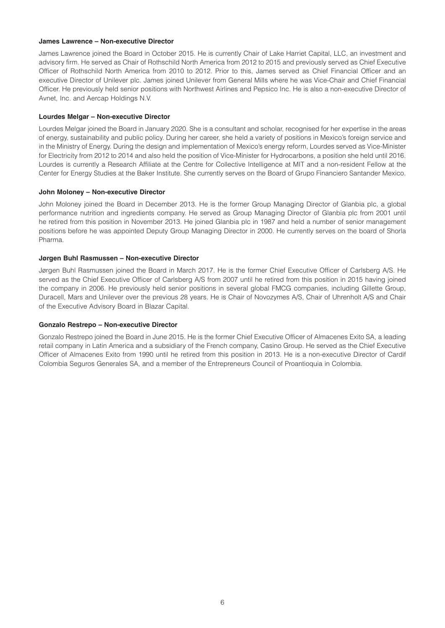#### **James Lawrence – Non-executive Director**

James Lawrence joined the Board in October 2015. He is currently Chair of Lake Harriet Capital, LLC, an investment and advisory firm. He served as Chair of Rothschild North America from 2012 to 2015 and previously served as Chief Executive Officer of Rothschild North America from 2010 to 2012. Prior to this, James served as Chief Financial Officer and an executive Director of Unilever plc. James joined Unilever from General Mills where he was Vice-Chair and Chief Financial Officer. He previously held senior positions with Northwest Airlines and Pepsico Inc. He is also a non-executive Director of Avnet, Inc. and Aercap Holdings N.V.

#### **Lourdes Melgar – Non-executive Director**

Lourdes Melgar joined the Board in January 2020. She is a consultant and scholar, recognised for her expertise in the areas of energy, sustainability and public policy. During her career, she held a variety of positions in Mexico's foreign service and in the Ministry of Energy. During the design and implementation of Mexico's energy reform, Lourdes served as Vice-Minister for Electricity from 2012 to 2014 and also held the position of Vice-Minister for Hydrocarbons, a position she held until 2016. Lourdes is currently a Research Affiliate at the Centre for Collective Intelligence at MIT and a non-resident Fellow at the Center for Energy Studies at the Baker Institute. She currently serves on the Board of Grupo Financiero Santander Mexico.

#### **John Moloney – Non-executive Director**

John Moloney joined the Board in December 2013. He is the former Group Managing Director of Glanbia plc, a global performance nutrition and ingredients company. He served as Group Managing Director of Glanbia plc from 2001 until he retired from this position in November 2013. He joined Glanbia plc in 1987 and held a number of senior management positions before he was appointed Deputy Group Managing Director in 2000. He currently serves on the board of Shorla Pharma.

#### **Jørgen Buhl Rasmussen – Non-executive Director**

Jørgen Buhl Rasmussen joined the Board in March 2017. He is the former Chief Executive Officer of Carlsberg A/S. He served as the Chief Executive Officer of Carlsberg A/S from 2007 until he retired from this position in 2015 having joined the company in 2006. He previously held senior positions in several global FMCG companies, including Gillette Group, Duracell, Mars and Unilever over the previous 28 years. He is Chair of Novozymes A/S, Chair of Uhrenholt A/S and Chair of the Executive Advisory Board in Blazar Capital.

#### **Gonzalo Restrepo – Non-executive Director**

Gonzalo Restrepo joined the Board in June 2015. He is the former Chief Executive Officer of Almacenes Exito SA, a leading retail company in Latin America and a subsidiary of the French company, Casino Group. He served as the Chief Executive Officer of Almacenes Exito from 1990 until he retired from this position in 2013. He is a non-executive Director of Cardif Colombia Seguros Generales SA, and a member of the Entrepreneurs Council of Proantioquia in Colombia.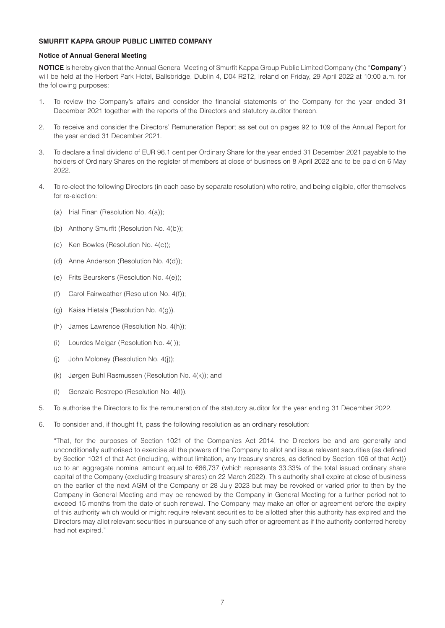#### **SMURFIT KAPPA GROUP PUBLIC LIMITED COMPANY**

#### **Notice of Annual General Meeting**

**NOTICE** is hereby given that the Annual General Meeting of Smurfit Kappa Group Public Limited Company (the "**Company**") will be held at the Herbert Park Hotel, Ballsbridge, Dublin 4, D04 R2T2, Ireland on Friday, 29 April 2022 at 10:00 a.m. for the following purposes:

- 1. To review the Company's affairs and consider the financial statements of the Company for the year ended 31 December 2021 together with the reports of the Directors and statutory auditor thereon.
- 2. To receive and consider the Directors' Remuneration Report as set out on pages 92 to 109 of the Annual Report for the year ended 31 December 2021.
- 3. To declare a final dividend of EUR 96.1 cent per Ordinary Share for the year ended 31 December 2021 payable to the holders of Ordinary Shares on the register of members at close of business on 8 April 2022 and to be paid on 6 May 2022.
- 4. To re-elect the following Directors (in each case by separate resolution) who retire, and being eligible, offer themselves for re-election:
	- (a) Irial Finan (Resolution No. 4(a));
	- (b) Anthony Smurfit (Resolution No. 4(b));
	- (c) Ken Bowles (Resolution No. 4(c));
	- (d) Anne Anderson (Resolution No. 4(d));
	- (e) Frits Beurskens (Resolution No. 4(e));
	- (f) Carol Fairweather (Resolution No. 4(f));
	- (g) Kaisa Hietala (Resolution No. 4(g)).
	- (h) James Lawrence (Resolution No. 4(h));
	- (i) Lourdes Melgar (Resolution No. 4(i));
	- (j) John Moloney (Resolution No. 4(j));
	- (k) Jørgen Buhl Rasmussen (Resolution No. 4(k)); and
	- (l) Gonzalo Restrepo (Resolution No. 4(l)).
- 5. To authorise the Directors to fix the remuneration of the statutory auditor for the year ending 31 December 2022.
- 6. To consider and, if thought fit, pass the following resolution as an ordinary resolution:

"That, for the purposes of Section 1021 of the Companies Act 2014, the Directors be and are generally and unconditionally authorised to exercise all the powers of the Company to allot and issue relevant securities (as defined by Section 1021 of that Act (including, without limitation, any treasury shares, as defined by Section 106 of that Act)) up to an aggregate nominal amount equal to €86,737 (which represents 33.33% of the total issued ordinary share capital of the Company (excluding treasury shares) on 22 March 2022). This authority shall expire at close of business on the earlier of the next AGM of the Company or 28 July 2023 but may be revoked or varied prior to then by the Company in General Meeting and may be renewed by the Company in General Meeting for a further period not to exceed 15 months from the date of such renewal. The Company may make an offer or agreement before the expiry of this authority which would or might require relevant securities to be allotted after this authority has expired and the Directors may allot relevant securities in pursuance of any such offer or agreement as if the authority conferred hereby had not expired."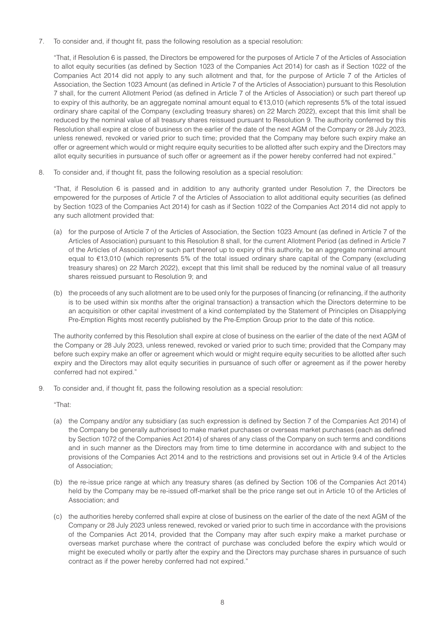7. To consider and, if thought fit, pass the following resolution as a special resolution:

"That, if Resolution 6 is passed, the Directors be empowered for the purposes of Article 7 of the Articles of Association to allot equity securities (as defined by Section 1023 of the Companies Act 2014) for cash as if Section 1022 of the Companies Act 2014 did not apply to any such allotment and that, for the purpose of Article 7 of the Articles of Association, the Section 1023 Amount (as defined in Article 7 of the Articles of Association) pursuant to this Resolution 7 shall, for the current Allotment Period (as defined in Article 7 of the Articles of Association) or such part thereof up to expiry of this authority, be an aggregate nominal amount equal to €13,010 (which represents 5% of the total issued ordinary share capital of the Company (excluding treasury shares) on 22 March 2022), except that this limit shall be reduced by the nominal value of all treasury shares reissued pursuant to Resolution 9. The authority conferred by this Resolution shall expire at close of business on the earlier of the date of the next AGM of the Company or 28 July 2023, unless renewed, revoked or varied prior to such time; provided that the Company may before such expiry make an offer or agreement which would or might require equity securities to be allotted after such expiry and the Directors may allot equity securities in pursuance of such offer or agreement as if the power hereby conferred had not expired."

8. To consider and, if thought fit, pass the following resolution as a special resolution:

"That, if Resolution 6 is passed and in addition to any authority granted under Resolution 7, the Directors be empowered for the purposes of Article 7 of the Articles of Association to allot additional equity securities (as defined by Section 1023 of the Companies Act 2014) for cash as if Section 1022 of the Companies Act 2014 did not apply to any such allotment provided that:

- (a) for the purpose of Article 7 of the Articles of Association, the Section 1023 Amount (as defined in Article 7 of the Articles of Association) pursuant to this Resolution 8 shall, for the current Allotment Period (as defined in Article 7 of the Articles of Association) or such part thereof up to expiry of this authority, be an aggregate nominal amount equal to €13,010 (which represents 5% of the total issued ordinary share capital of the Company (excluding treasury shares) on 22 March 2022), except that this limit shall be reduced by the nominal value of all treasury shares reissued pursuant to Resolution 9; and
- (b) the proceeds of any such allotment are to be used only for the purposes of financing (or refinancing, if the authority is to be used within six months after the original transaction) a transaction which the Directors determine to be an acquisition or other capital investment of a kind contemplated by the Statement of Principles on Disapplying Pre-Emption Rights most recently published by the Pre-Emption Group prior to the date of this notice.

The authority conferred by this Resolution shall expire at close of business on the earlier of the date of the next AGM of the Company or 28 July 2023, unless renewed, revoked or varied prior to such time; provided that the Company may before such expiry make an offer or agreement which would or might require equity securities to be allotted after such expiry and the Directors may allot equity securities in pursuance of such offer or agreement as if the power hereby conferred had not expired."

9. To consider and, if thought fit, pass the following resolution as a special resolution:

"That:

- (a) the Company and/or any subsidiary (as such expression is defined by Section 7 of the Companies Act 2014) of the Company be generally authorised to make market purchases or overseas market purchases (each as defined by Section 1072 of the Companies Act 2014) of shares of any class of the Company on such terms and conditions and in such manner as the Directors may from time to time determine in accordance with and subject to the provisions of the Companies Act 2014 and to the restrictions and provisions set out in Article 9.4 of the Articles of Association;
- (b) the re-issue price range at which any treasury shares (as defined by Section 106 of the Companies Act 2014) held by the Company may be re-issued off-market shall be the price range set out in Article 10 of the Articles of Association; and
- (c) the authorities hereby conferred shall expire at close of business on the earlier of the date of the next AGM of the Company or 28 July 2023 unless renewed, revoked or varied prior to such time in accordance with the provisions of the Companies Act 2014, provided that the Company may after such expiry make a market purchase or overseas market purchase where the contract of purchase was concluded before the expiry which would or might be executed wholly or partly after the expiry and the Directors may purchase shares in pursuance of such contract as if the power hereby conferred had not expired."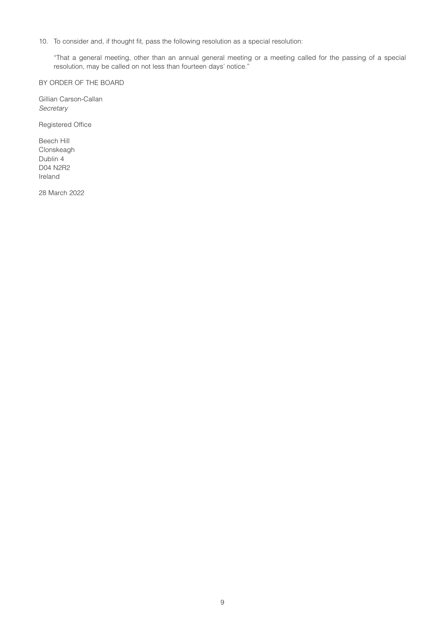10. To consider and, if thought fit, pass the following resolution as a special resolution:

"That a general meeting, other than an annual general meeting or a meeting called for the passing of a special resolution, may be called on not less than fourteen days' notice."

BY ORDER OF THE BOARD

Gillian Carson-Callan *Secretary*

Registered Office

Beech Hill Clonskeagh Dublin 4 D04 N2R2 Ireland

28 March 2022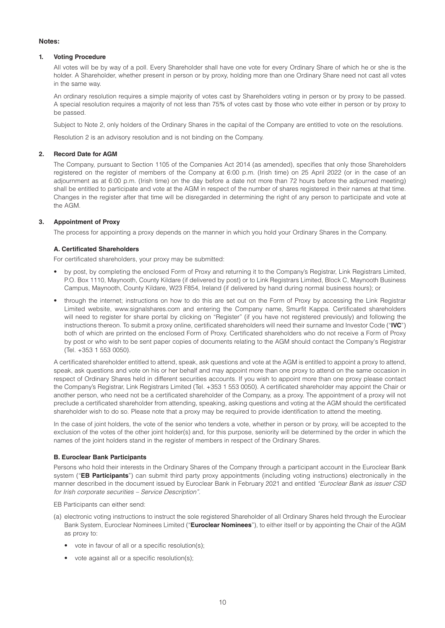#### **Notes:**

#### **1. Voting Procedure**

All votes will be by way of a poll. Every Shareholder shall have one vote for every Ordinary Share of which he or she is the holder. A Shareholder, whether present in person or by proxy, holding more than one Ordinary Share need not cast all votes in the same way.

An ordinary resolution requires a simple majority of votes cast by Shareholders voting in person or by proxy to be passed. A special resolution requires a majority of not less than 75% of votes cast by those who vote either in person or by proxy to be passed.

Subject to Note 2, only holders of the Ordinary Shares in the capital of the Company are entitled to vote on the resolutions.

Resolution 2 is an advisory resolution and is not binding on the Company.

#### **2. Record Date for AGM**

The Company, pursuant to Section 1105 of the Companies Act 2014 (as amended), specifies that only those Shareholders registered on the register of members of the Company at 6:00 p.m. (Irish time) on 25 April 2022 (or in the case of an adjournment as at 6:00 p.m. (Irish time) on the day before a date not more than 72 hours before the adjourned meeting) shall be entitled to participate and vote at the AGM in respect of the number of shares registered in their names at that time. Changes in the register after that time will be disregarded in determining the right of any person to participate and vote at the AGM.

#### **3. Appointment of Proxy**

The process for appointing a proxy depends on the manner in which you hold your Ordinary Shares in the Company.

#### **A. Certificated Shareholders**

For certificated shareholders, your proxy may be submitted:

- by post, by completing the enclosed Form of Proxy and returning it to the Company's Registrar, Link Registrars Limited, P.O. Box 1110, Maynooth, County Kildare (if delivered by post) or to Link Registrars Limited, Block C, Maynooth Business Campus, Maynooth, County Kildare, W23 F854, Ireland (if delivered by hand during normal business hours); or
- through the internet; instructions on how to do this are set out on the Form of Proxy by accessing the Link Registrar Limited website, www.signalshares.com and entering the Company name, Smurfit Kappa. Certificated shareholders will need to register for share portal by clicking on "Register" (if you have not registered previously) and following the instructions thereon. To submit a proxy online, certificated shareholders will need their surname and Investor Code ("**IVC**") both of which are printed on the enclosed Form of Proxy. Certificated shareholders who do not receive a Form of Proxy by post or who wish to be sent paper copies of documents relating to the AGM should contact the Company's Registrar (Tel. +353 1 553 0050).

A certificated shareholder entitled to attend, speak, ask questions and vote at the AGM is entitled to appoint a proxy to attend, speak, ask questions and vote on his or her behalf and may appoint more than one proxy to attend on the same occasion in respect of Ordinary Shares held in different securities accounts. If you wish to appoint more than one proxy please contact the Company's Registrar, Link Registrars Limited (Tel. +353 1 553 0050). A certificated shareholder may appoint the Chair or another person, who need not be a certificated shareholder of the Company, as a proxy. The appointment of a proxy will not preclude a certificated shareholder from attending, speaking, asking questions and voting at the AGM should the certificated shareholder wish to do so. Please note that a proxy may be required to provide identification to attend the meeting.

In the case of joint holders, the vote of the senior who tenders a vote, whether in person or by proxy, will be accepted to the exclusion of the votes of the other joint holder(s) and, for this purpose, seniority will be determined by the order in which the names of the joint holders stand in the register of members in respect of the Ordinary Shares.

#### **B. Euroclear Bank Participants**

Persons who hold their interests in the Ordinary Shares of the Company through a participant account in the Euroclear Bank system ("**EB Participants**") can submit third party proxy appointments (including voting instructions) electronically in the manner described in the document issued by Euroclear Bank in February 2021 and entitled *"Euroclear Bank as issuer CSD for Irish corporate securities – Service Description".*

EB Participants can either send:

- (a) electronic voting instructions to instruct the sole registered Shareholder of all Ordinary Shares held through the Euroclear Bank System, Euroclear Nominees Limited ("**Euroclear Nominees**"), to either itself or by appointing the Chair of the AGM as proxy to:
	- vote in favour of all or a specific resolution(s);
	- vote against all or a specific resolution(s);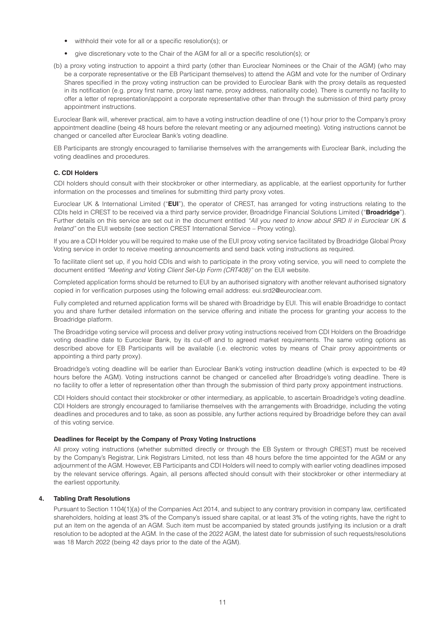- withhold their vote for all or a specific resolution(s); or
- give discretionary vote to the Chair of the AGM for all or a specific resolution(s); or
- (b) a proxy voting instruction to appoint a third party (other than Euroclear Nominees or the Chair of the AGM) (who may be a corporate representative or the EB Participant themselves) to attend the AGM and vote for the number of Ordinary Shares specified in the proxy voting instruction can be provided to Euroclear Bank with the proxy details as requested in its notification (e.g. proxy first name, proxy last name, proxy address, nationality code). There is currently no facility to offer a letter of representation/appoint a corporate representative other than through the submission of third party proxy appointment instructions.

Euroclear Bank will, wherever practical, aim to have a voting instruction deadline of one (1) hour prior to the Company's proxy appointment deadline (being 48 hours before the relevant meeting or any adjourned meeting). Voting instructions cannot be changed or cancelled after Euroclear Bank's voting deadline.

EB Participants are strongly encouraged to familiarise themselves with the arrangements with Euroclear Bank, including the voting deadlines and procedures.

#### **C. CDI Holders**

CDI holders should consult with their stockbroker or other intermediary, as applicable, at the earliest opportunity for further information on the processes and timelines for submitting third party proxy votes.

Euroclear UK & International Limited ("**EUI**"), the operator of CREST, has arranged for voting instructions relating to the CDIs held in CREST to be received via a third party service provider, Broadridge Financial Solutions Limited ("**Broadridge**"). Further details on this service are set out in the document entitled *"All you need to know about SRD II in Euroclear UK & Ireland"* on the EUI website (see section CREST International Service – Proxy voting).

If you are a CDI Holder you will be required to make use of the EUI proxy voting service facilitated by Broadridge Global Proxy Voting service in order to receive meeting announcements and send back voting instructions as required.

To facilitate client set up, if you hold CDIs and wish to participate in the proxy voting service, you will need to complete the document entitled *"Meeting and Voting Client Set-Up Form (CRT408)"* on the EUI website.

Completed application forms should be returned to EUI by an authorised signatory with another relevant authorised signatory copied in for verification purposes using the following email address: eui.srd2@euroclear.com.

Fully completed and returned application forms will be shared with Broadridge by EUI. This will enable Broadridge to contact you and share further detailed information on the service offering and initiate the process for granting your access to the Broadridge platform.

The Broadridge voting service will process and deliver proxy voting instructions received from CDI Holders on the Broadridge voting deadline date to Euroclear Bank, by its cut-off and to agreed market requirements. The same voting options as described above for EB Participants will be available (i.e. electronic votes by means of Chair proxy appointments or appointing a third party proxy).

Broadridge's voting deadline will be earlier than Euroclear Bank's voting instruction deadline (which is expected to be 49 hours before the AGM). Voting instructions cannot be changed or cancelled after Broadridge's voting deadline. There is no facility to offer a letter of representation other than through the submission of third party proxy appointment instructions.

CDI Holders should contact their stockbroker or other intermediary, as applicable, to ascertain Broadridge's voting deadline. CDI Holders are strongly encouraged to familiarise themselves with the arrangements with Broadridge, including the voting deadlines and procedures and to take, as soon as possible, any further actions required by Broadridge before they can avail of this voting service.

#### **Deadlines for Receipt by the Company of Proxy Voting Instructions**

All proxy voting instructions (whether submitted directly or through the EB System or through CREST) must be received by the Company's Registrar, Link Registrars Limited, not less than 48 hours before the time appointed for the AGM or any adjournment of the AGM. However, EB Participants and CDI Holders will need to comply with earlier voting deadlines imposed by the relevant service offerings. Again, all persons affected should consult with their stockbroker or other intermediary at the earliest opportunity.

#### **4. Tabling Draft Resolutions**

Pursuant to Section 1104(1)(a) of the Companies Act 2014, and subject to any contrary provision in company law, certificated shareholders, holding at least 3% of the Company's issued share capital, or at least 3% of the voting rights, have the right to put an item on the agenda of an AGM. Such item must be accompanied by stated grounds justifying its inclusion or a draft resolution to be adopted at the AGM. In the case of the 2022 AGM, the latest date for submission of such requests/resolutions was 18 March 2022 (being 42 days prior to the date of the AGM).